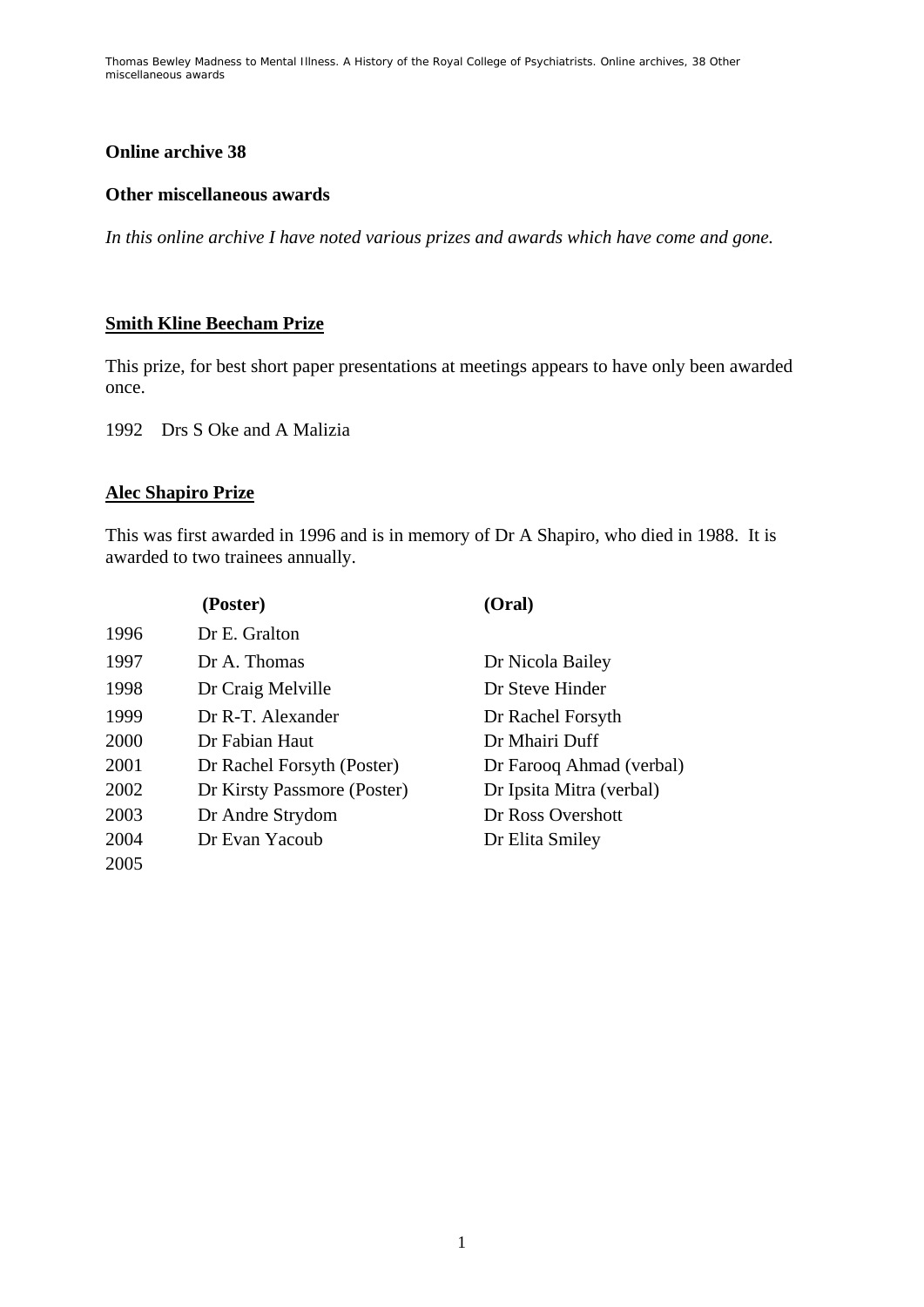Thomas Bewley *Madness to Mental Illness. A History of the Royal College of Psychiatrists*. Online archives, 38 *Other miscellaneous awards*

# **Online archive 38**

#### **Other miscellaneous awards**

*In this online archive I have noted various prizes and awards which have come and gone.* 

## **Smith Kline Beecham Prize**

This prize, for best short paper presentations at meetings appears to have only been awarded once.

1992 Drs S Oke and A Malizia

## **Alec Shapiro Prize**

This was first awarded in 1996 and is in memory of Dr A Shapiro, who died in 1988. It is awarded to two trainees annually.

| (Poster) |                             | (Oral)                   |
|----------|-----------------------------|--------------------------|
| 1996     | Dr E. Gralton               |                          |
| 1997     | Dr A. Thomas                | Dr Nicola Bailey         |
| 1998     | Dr Craig Melville           | Dr Steve Hinder          |
| 1999     | Dr R-T. Alexander           | Dr Rachel Forsyth        |
| 2000     | Dr Fabian Haut              | Dr Mhairi Duff           |
| 2001     | Dr Rachel Forsyth (Poster)  | Dr Farooq Ahmad (verbal) |
| 2002     | Dr Kirsty Passmore (Poster) | Dr Ipsita Mitra (verbal) |
| 2003     | Dr Andre Strydom            | Dr Ross Overshott        |
| 2004     | Dr Evan Yacoub              | Dr Elita Smiley          |
| 2005     |                             |                          |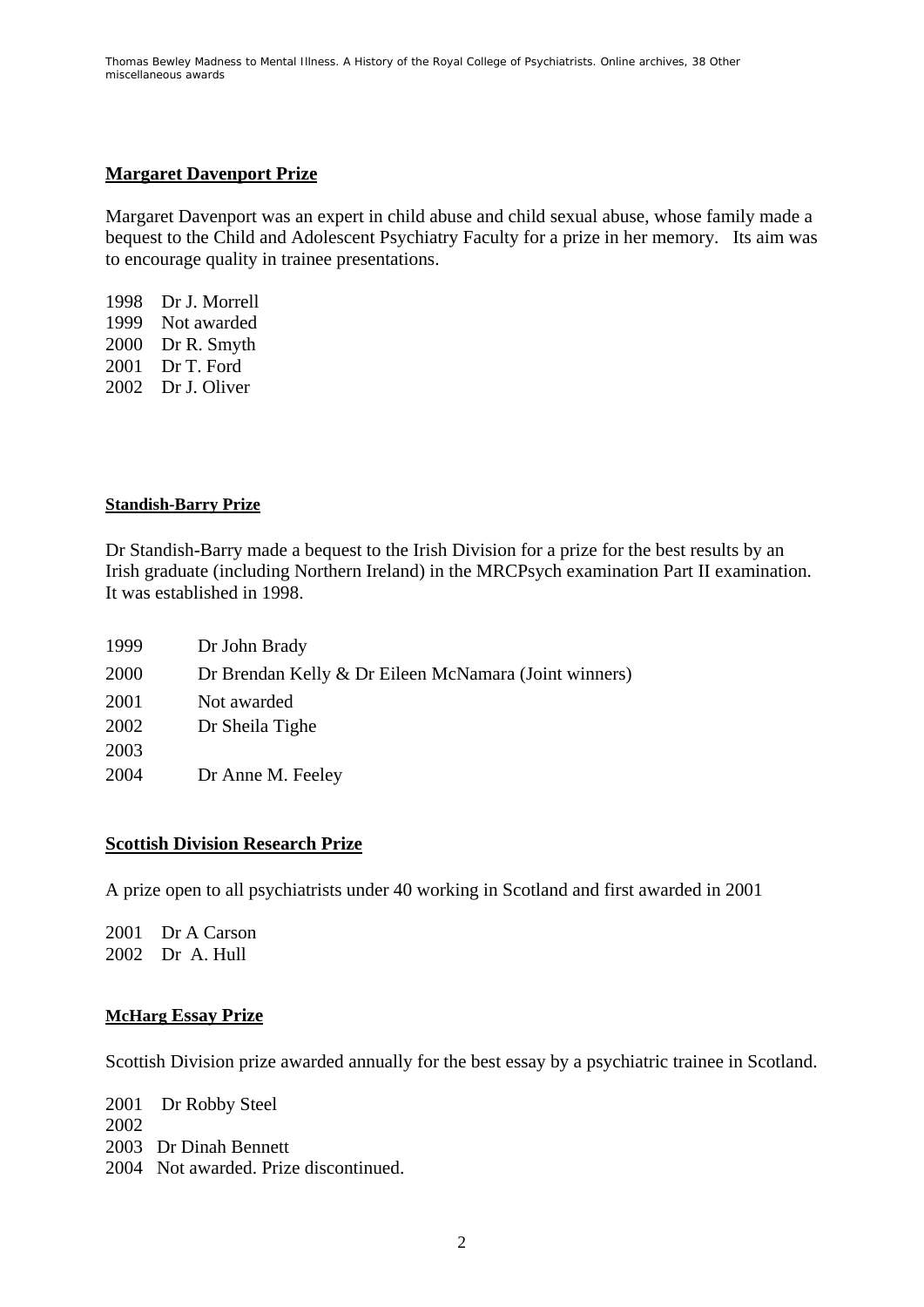Thomas Bewley *Madness to Mental Illness. A History of the Royal College of Psychiatrists*. Online archives, 38 *Other miscellaneous awards*

## **Margaret Davenport Prize**

Margaret Davenport was an expert in child abuse and child sexual abuse, whose family made a bequest to the Child and Adolescent Psychiatry Faculty for a prize in her memory. Its aim was to encourage quality in trainee presentations.

1998 Dr J. Morrell 1999 Not awarded 2000 Dr R. Smyth 2001 Dr T. Ford 2002 Dr J. Oliver

#### **Standish-Barry Prize**

Dr Standish-Barry made a bequest to the Irish Division for a prize for the best results by an Irish graduate (including Northern Ireland) in the MRCPsych examination Part II examination. It was established in 1998.

| 1999 | Dr John Brady                                         |
|------|-------------------------------------------------------|
| 2000 | Dr Brendan Kelly & Dr Eileen McNamara (Joint winners) |
| 2001 | Not awarded                                           |
| 2002 | Dr Sheila Tighe                                       |
| 2003 |                                                       |
| 2004 | Dr Anne M. Feeley                                     |

#### **Scottish Division Research Prize**

A prize open to all psychiatrists under 40 working in Scotland and first awarded in 2001

2001 Dr A Carson 2002 Dr A. Hull

#### **McHarg Essay Prize**

Scottish Division prize awarded annually for the best essay by a psychiatric trainee in Scotland.

2001 Dr Robby Steel 2002 2003 Dr Dinah Bennett 2004 Not awarded. Prize discontinued.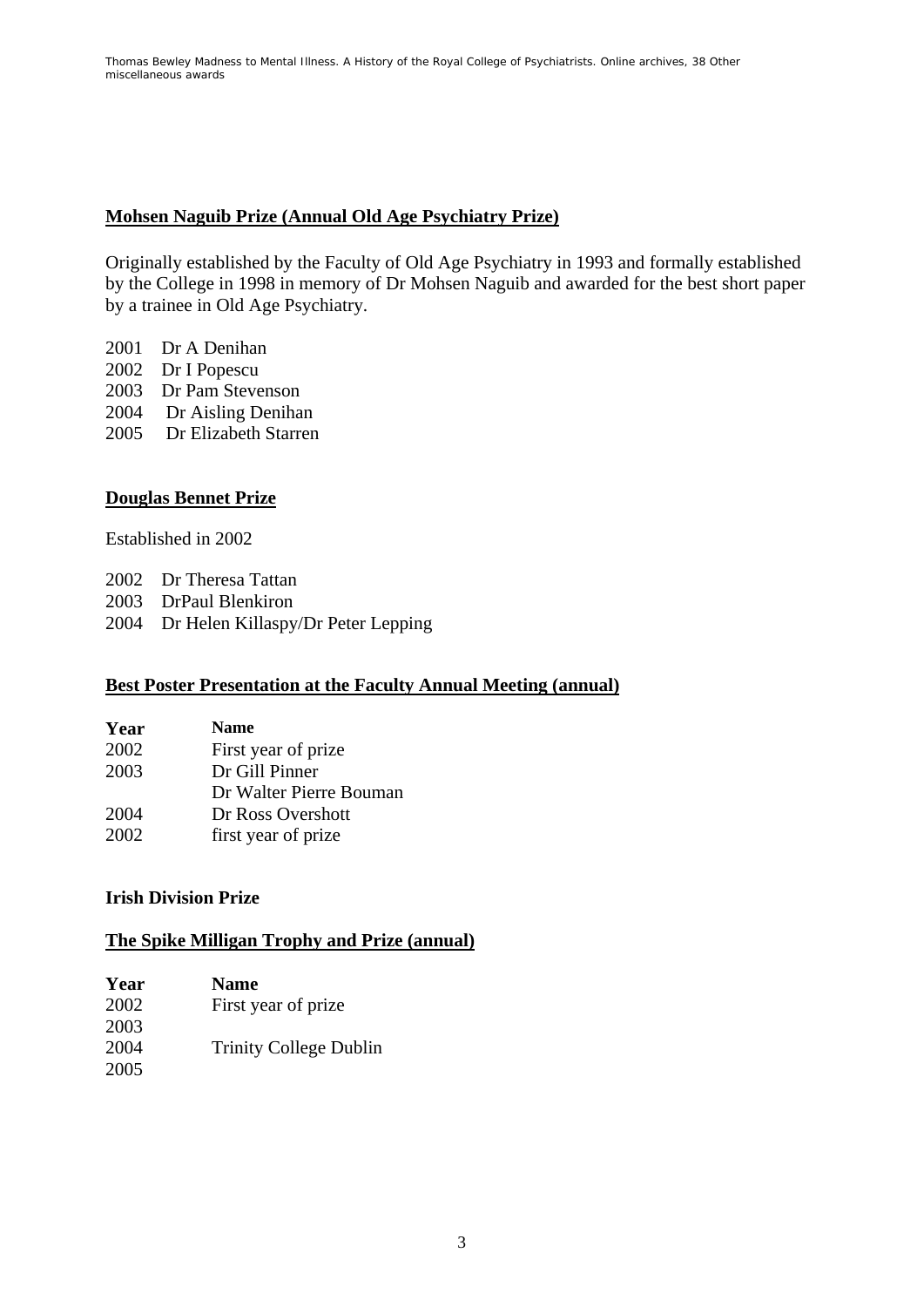# **Mohsen Naguib Prize (Annual Old Age Psychiatry Prize)**

Originally established by the Faculty of Old Age Psychiatry in 1993 and formally established by the College in 1998 in memory of Dr Mohsen Naguib and awarded for the best short paper by a trainee in Old Age Psychiatry.

- 2001 Dr A Denihan
- 2002 Dr I Popescu
- 2003 Dr Pam Stevenson
- 2004 Dr Aisling Denihan
- 2005 Dr Elizabeth Starren

# **Douglas Bennet Prize**

Established in 2002

- 2002 Dr Theresa Tattan
- 2003 DrPaul Blenkiron
- 2004 Dr Helen Killaspy/Dr Peter Lepping

## **Best Poster Presentation at the Faculty Annual Meeting (annual)**

| Year | <b>Name</b>             |
|------|-------------------------|
| 2002 | First year of prize.    |
| 2003 | Dr Gill Pinner          |
|      | Dr Walter Pierre Bouman |
| 2004 | Dr Ross Overshott       |
| 2002 | first year of prize     |

## **Irish Division Prize**

# **The Spike Milligan Trophy and Prize (annual)**

| Year | <b>Name</b>                   |
|------|-------------------------------|
| 2002 | First year of prize.          |
| 2003 |                               |
| 2004 | <b>Trinity College Dublin</b> |
| 2005 |                               |